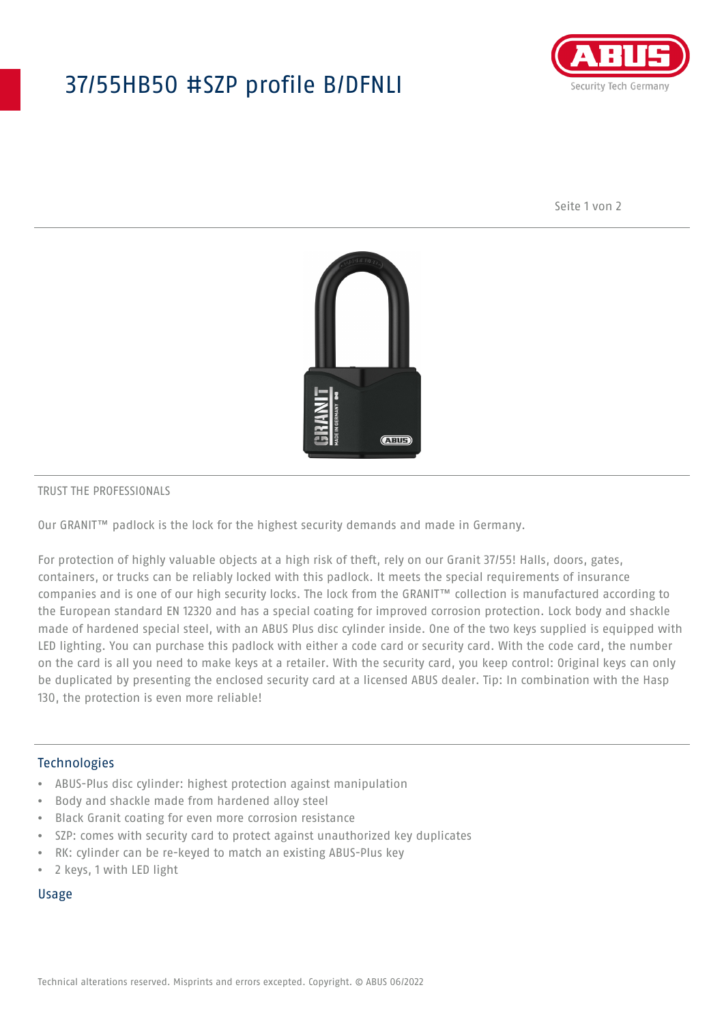## 37/55HB50 #SZP profile B/DFNLI



Seite 1 von 2



#### TRUST THE PROFESSIONALS

Our GRANIT™ padlock is the lock for the highest security demands and made in Germany.

For protection of highly valuable objects at a high risk of theft, rely on our Granit 37/55! Halls, doors, gates, containers, or trucks can be reliably locked with this padlock. It meets the special requirements of insurance companies and is one of our high security locks. The lock from the GRANIT™ collection is manufactured according to the European standard EN 12320 and has a special coating for improved corrosion protection. Lock body and shackle made of hardened special steel, with an ABUS Plus disc cylinder inside. One of the two keys supplied is equipped with LED lighting. You can purchase this padlock with either a code card or security card. With the code card, the number on the card is all you need to make keys at a retailer. With the security card, you keep control: Original keys can only be duplicated by presenting the enclosed security card at a licensed ABUS dealer. Tip: In combination with the Hasp 130, the protection is even more reliable!

#### Technologies

- ABUS-Plus disc cylinder: highest protection against manipulation
- Body and shackle made from hardened alloy steel
- Black Granit coating for even more corrosion resistance
- SZP: comes with security card to protect against unauthorized key duplicates
- RK: cylinder can be re-keyed to match an existing ABUS-Plus key
- 2 keys, 1 with LED light

#### Usage